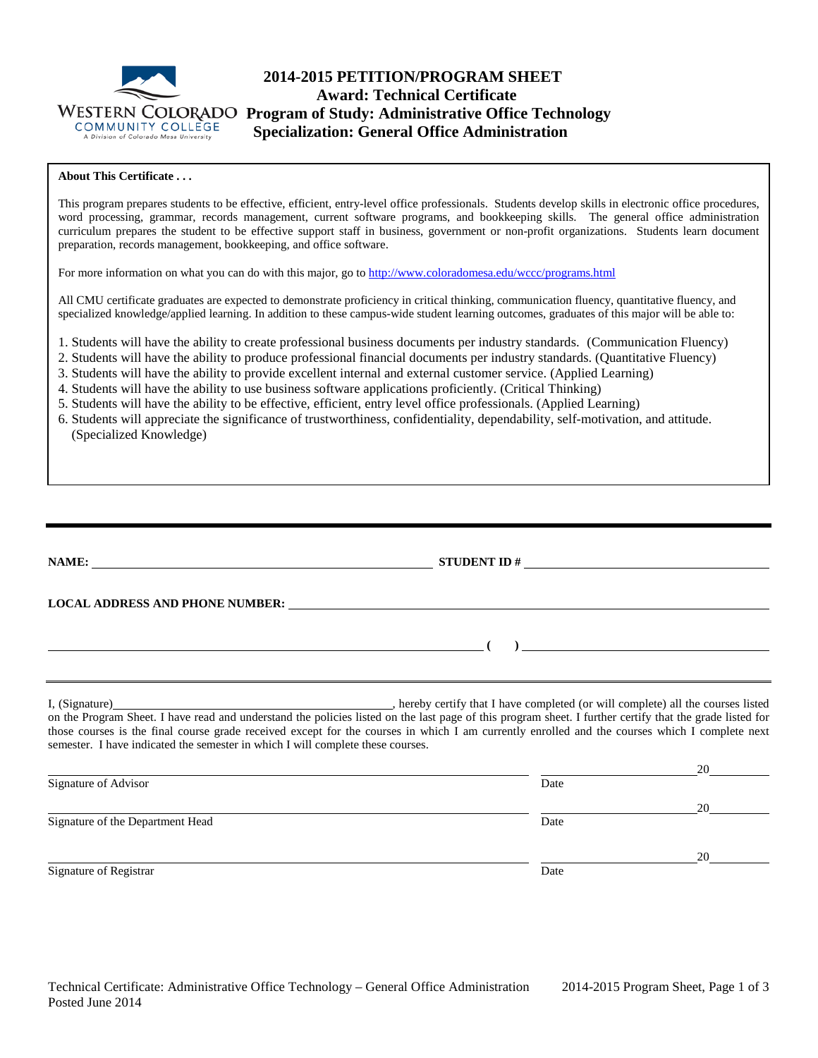

# **2014-2015 PETITION/PROGRAM SHEET Award: Technical Certificate WESTERN COLORADO Program of Study: Administrative Office Technology**<br>COMMUNITY COLLEGE **Specialization: General Office Administration Specialization: General Office Administration**

## **About This Certificate . . .**

This program prepares students to be effective, efficient, entry-level office professionals. Students develop skills in electronic office procedures, word processing, grammar, records management, current software programs, and bookkeeping skills. The general office administration curriculum prepares the student to be effective support staff in business, government or non-profit organizations. Students learn document preparation, records management, bookkeeping, and office software.

For more information on what you can do with this major, go to<http://www.coloradomesa.edu/wccc/programs.html>

All CMU certificate graduates are expected to demonstrate proficiency in critical thinking, communication fluency, quantitative fluency, and specialized knowledge/applied learning. In addition to these campus-wide student learning outcomes, graduates of this major will be able to:

1. Students will have the ability to create professional business documents per industry standards. (Communication Fluency)

- 2. Students will have the ability to produce professional financial documents per industry standards. (Quantitative Fluency)
- 3. Students will have the ability to provide excellent internal and external customer service. (Applied Learning)
- 4. Students will have the ability to use business software applications proficiently. (Critical Thinking)
- 5. Students will have the ability to be effective, efficient, entry level office professionals. (Applied Learning)
- 6. Students will appreciate the significance of trustworthiness, confidentiality, dependability, self-motivation, and attitude. (Specialized Knowledge)

| STUDENT ID $\#$                                                                                                                                                                                                                                                                                            |
|------------------------------------------------------------------------------------------------------------------------------------------------------------------------------------------------------------------------------------------------------------------------------------------------------------|
| LOCAL ADDRESS AND PHONE NUMBER: Under the contract of the contract of the contract of the contract of the contract of the contract of the contract of the contract of the contract of the contract of the contract of the cont                                                                             |
| $\overline{a}$ (b) and the contract of $\overline{a}$ (c) and the contract of $\overline{a}$ (c) and the contract of $\overline{a}$                                                                                                                                                                        |
| on the Program Sheet. I have read and understand the policies listed on the last page of this program sheet. I further certify that the grade listed for<br>those courses is the final course grade received except for the courses in which I am currently enrolled and the courses which I complete next |

|                                  |      | 20 |
|----------------------------------|------|----|
| Signature of Advisor             | Date |    |
|                                  |      | 20 |
| Signature of the Department Head | Date |    |
|                                  |      | 20 |
| Signature of Registrar           | Date |    |

semester. I have indicated the semester in which I will complete these courses.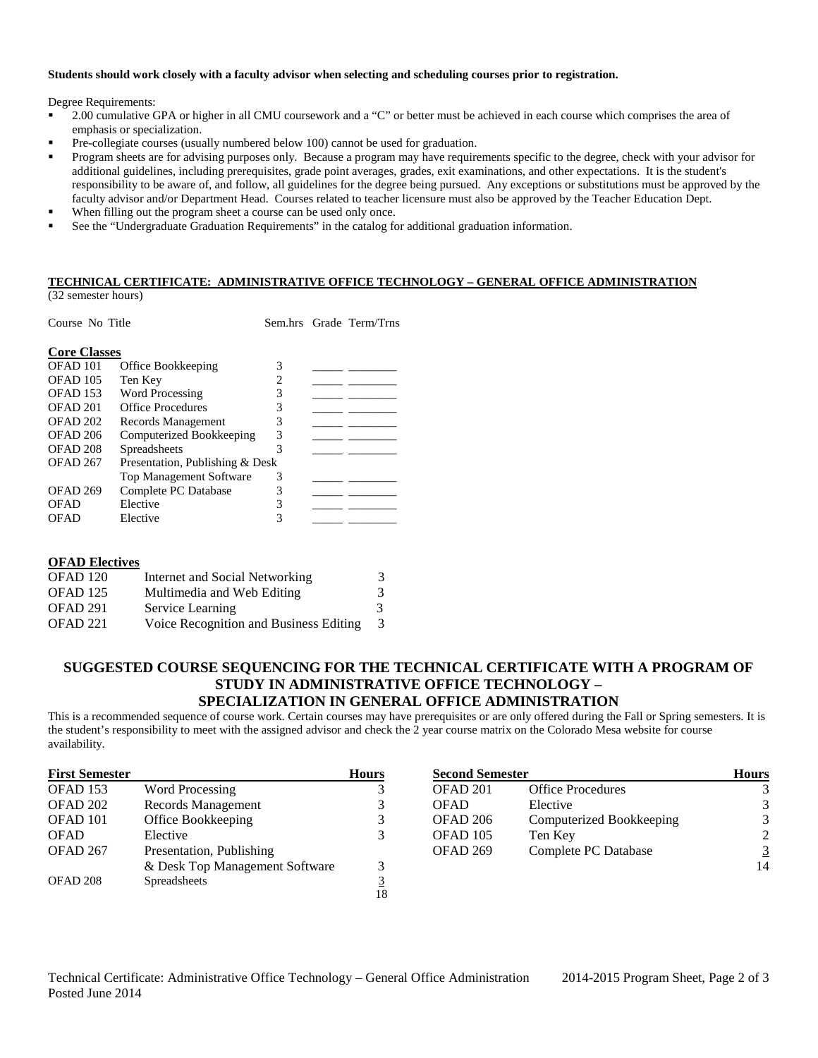#### **Students should work closely with a faculty advisor when selecting and scheduling courses prior to registration.**

Degree Requirements:

- 2.00 cumulative GPA or higher in all CMU coursework and a "C" or better must be achieved in each course which comprises the area of emphasis or specialization.
- Pre-collegiate courses (usually numbered below 100) cannot be used for graduation.
- Program sheets are for advising purposes only. Because a program may have requirements specific to the degree, check with your advisor for additional guidelines, including prerequisites, grade point averages, grades, exit examinations, and other expectations. It is the student's responsibility to be aware of, and follow, all guidelines for the degree being pursued. Any exceptions or substitutions must be approved by the faculty advisor and/or Department Head. Courses related to teacher licensure must also be approved by the Teacher Education Dept.
- When filling out the program sheet a course can be used only once.
- See the "Undergraduate Graduation Requirements" in the catalog for additional graduation information.

## **TECHNICAL CERTIFICATE: ADMINISTRATIVE OFFICE TECHNOLOGY – GENERAL OFFICE ADMINISTRATION**

(32 semester hours)

| Course No Title     |                                 |                |  | Sem.hrs Grade Term/Trns |  |
|---------------------|---------------------------------|----------------|--|-------------------------|--|
| <b>Core Classes</b> |                                 |                |  |                         |  |
| OFAD <sub>101</sub> | Office Bookkeeping              | 3              |  |                         |  |
| OFAD <sub>105</sub> | Ten Key                         | $\overline{2}$ |  |                         |  |
| <b>OFAD 153</b>     | <b>Word Processing</b>          | 3              |  |                         |  |
| OFAD <sub>201</sub> | <b>Office Procedures</b>        | 3              |  |                         |  |
| OFAD 202            | Records Management              | 3              |  |                         |  |
| OFAD <sub>206</sub> | Computerized Bookkeeping        | 3              |  |                         |  |
| OFAD <sub>208</sub> | Spreadsheets                    | 3              |  |                         |  |
| OFAD <sub>267</sub> | Presentation, Publishing & Desk |                |  |                         |  |
|                     | <b>Top Management Software</b>  | 3              |  |                         |  |
| <b>OFAD 269</b>     | Complete PC Database            | 3              |  |                         |  |
| <b>OFAD</b>         | Elective                        | 3              |  |                         |  |
| <b>OFAD</b>         | Elective                        | 3              |  |                         |  |

| <b>OFAD Electives</b> |                                        |   |
|-----------------------|----------------------------------------|---|
| OFAD <sub>120</sub>   | Internet and Social Networking         | 3 |
| OFAD <sub>125</sub>   | Multimedia and Web Editing             | 3 |
| OFAD <sub>291</sub>   | Service Learning                       | 3 |
| OFAD 221              | Voice Recognition and Business Editing | 3 |

# **SUGGESTED COURSE SEQUENCING FOR THE TECHNICAL CERTIFICATE WITH A PROGRAM OF STUDY IN ADMINISTRATIVE OFFICE TECHNOLOGY – SPECIALIZATION IN GENERAL OFFICE ADMINISTRATION**

This is a recommended sequence of course work. Certain courses may have prerequisites or are only offered during the Fall or Spring semesters. It is the student's responsibility to meet with the assigned advisor and check the 2 year course matrix on the Colorado Mesa website for course availability.

| <b>First Semester</b> |                                | <b>Hours</b> | <b>Second Semester</b> |                          | <b>Hours</b> |
|-----------------------|--------------------------------|--------------|------------------------|--------------------------|--------------|
| OFAD <sub>153</sub>   | Word Processing                |              | OFAD 201               | <b>Office Procedures</b> |              |
| OFAD 202              | Records Management             | 3            | <b>OFAD</b>            | Elective                 | 3            |
| OFAD 101              | Office Bookkeeping             |              | OFAD 206               | Computerized Bookkeeping | 3            |
| <b>OFAD</b>           | Elective                       |              | OFAD 105               | Ten Key                  | 2            |
| OFAD 267              | Presentation, Publishing       |              | OFAD 269               | Complete PC Database     |              |
|                       | & Desk Top Management Software |              |                        |                          | 14           |
| OFAD 208              | Spreadsheets                   |              |                        |                          |              |
|                       |                                | 18           |                        |                          |              |